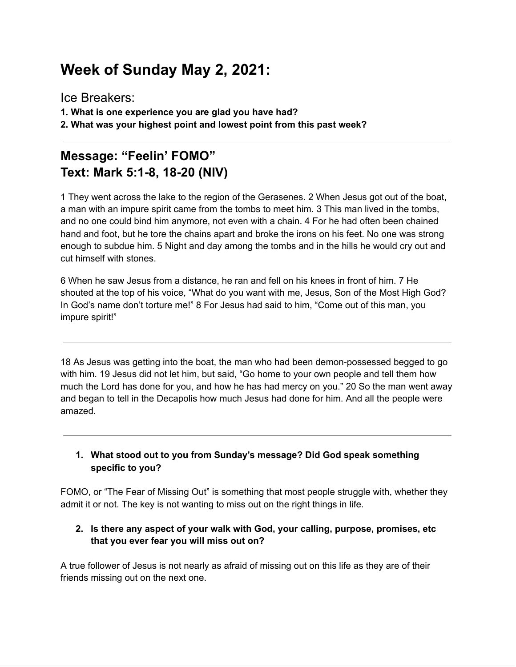# **Week of Sunday May 2, 2021:**

Ice Breakers: **1. What is one experience you are glad you have had? 2. What was your highest point and lowest point from this past week?**

### **Message: "Feelin' FOMO" Text: Mark 5:1-8, 18-20 (NIV)**

1 They went across the lake to the region of the Gerasenes. 2 When Jesus got out of the boat, a man with an impure spirit came from the tombs to meet him. 3 This man lived in the tombs, and no one could bind him anymore, not even with a chain. 4 For he had often been chained hand and foot, but he tore the chains apart and broke the irons on his feet. No one was strong enough to subdue him. 5 Night and day among the tombs and in the hills he would cry out and cut himself with stones.

6 When he saw Jesus from a distance, he ran and fell on his knees in front of him. 7 He shouted at the top of his voice, "What do you want with me, Jesus, Son of the Most High God? In God's name don't torture me!" 8 For Jesus had said to him, "Come out of this man, you impure spirit!"

18 As Jesus was getting into the boat, the man who had been demon-possessed begged to go with him. 19 Jesus did not let him, but said, "Go home to your own people and tell them how much the Lord has done for you, and how he has had mercy on you." 20 So the man went away and began to tell in the Decapolis how much Jesus had done for him. And all the people were amazed.

#### **1. What stood out to you from Sunday's message? Did God speak something specific to you?**

FOMO, or "The Fear of Missing Out" is something that most people struggle with, whether they admit it or not. The key is not wanting to miss out on the right things in life.

#### **2. Is there any aspect of your walk with God, your calling, purpose, promises, etc that you ever fear you will miss out on?**

A true follower of Jesus is not nearly as afraid of missing out on this life as they are of their friends missing out on the next one.